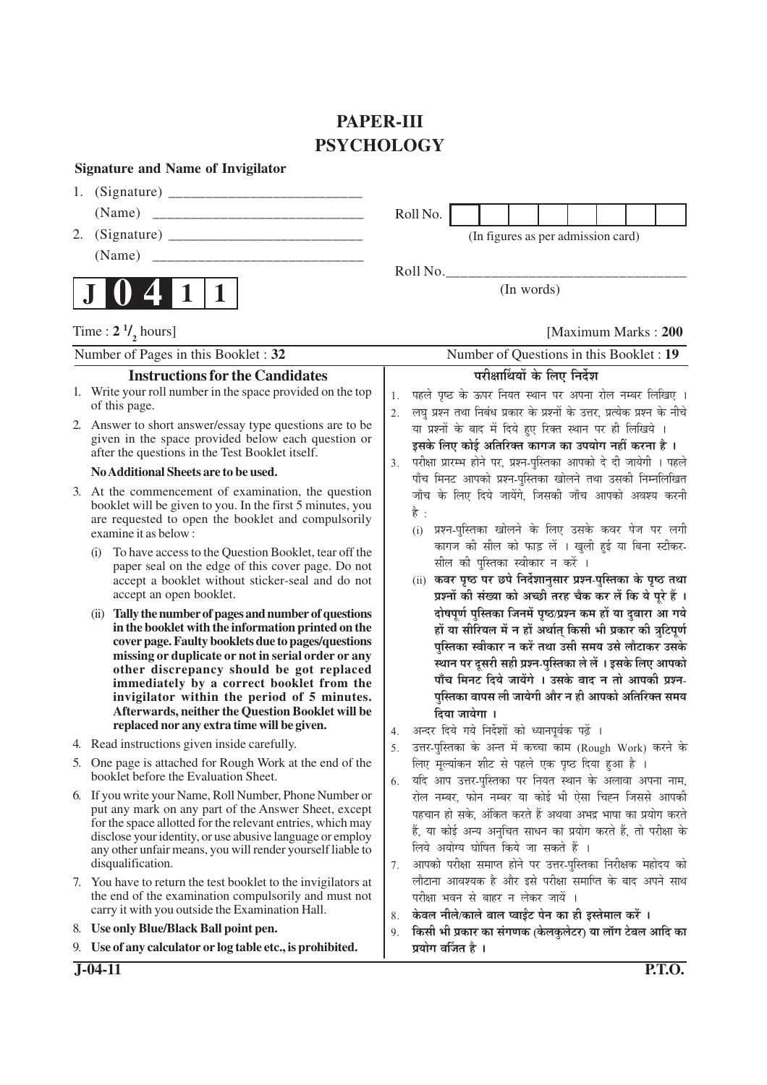# **PAPER-III PSYCHOLOGY**

 $\Gamma$ 

٦

Т

#### **Signature and Name of Invigilator**

- 1. (Signature)  $\frac{1}{2}$
- 



#### **/** hours]

|    | (Name)                                                                                                                  |                                    | Roll No. |  |               |            |                                                                                                                                     |  |  |
|----|-------------------------------------------------------------------------------------------------------------------------|------------------------------------|----------|--|---------------|------------|-------------------------------------------------------------------------------------------------------------------------------------|--|--|
| 2. |                                                                                                                         | (In figures as per admission card) |          |  |               |            |                                                                                                                                     |  |  |
|    | (Name)                                                                                                                  |                                    |          |  |               |            |                                                                                                                                     |  |  |
|    |                                                                                                                         |                                    | Roll No. |  |               |            |                                                                                                                                     |  |  |
|    |                                                                                                                         |                                    |          |  |               | (In words) |                                                                                                                                     |  |  |
|    |                                                                                                                         |                                    |          |  |               |            |                                                                                                                                     |  |  |
|    | Time : $2^{1/2}$ hours]                                                                                                 |                                    |          |  |               |            | [Maximum Marks: 200                                                                                                                 |  |  |
|    | Number of Pages in this Booklet: 32                                                                                     |                                    |          |  |               |            | Number of Questions in this Booklet: 19                                                                                             |  |  |
|    | <b>Instructions for the Candidates</b>                                                                                  |                                    |          |  |               |            | परीक्षार्थियों के लिए निर्देश                                                                                                       |  |  |
|    | 1. Write your roll number in the space provided on the top<br>of this page.                                             | 1.<br>2.                           |          |  |               |            | पहले पृष्ठ के ऊपर नियत स्थान पर अपना रोल नम्बर लिखिए ।<br>लघु प्रश्न तथा निबंध प्रकार के प्रश्नों के उत्तर, प्रत्येक प्रश्न के नीचे |  |  |
| 2. | Answer to short answer/essay type questions are to be                                                                   |                                    |          |  |               |            | या प्रश्नों के बाद में दिये हुए रिक्त स्थान पर ही लिखिये ।                                                                          |  |  |
|    | given in the space provided below each question or<br>after the questions in the Test Booklet itself.                   |                                    |          |  |               |            | इसके लिए कोई अतिरिक्त कागज का उपयोग नहीं करना है ।                                                                                  |  |  |
|    | No Additional Sheets are to be used.                                                                                    | 3.                                 |          |  |               |            | परीक्षा प्रारम्भ होने पर, प्रश्न-पुस्तिका आपको दे दी जायेगी । पहले                                                                  |  |  |
| 3. | At the commencement of examination, the question                                                                        |                                    |          |  |               |            | पाँच मिनट आपको प्रश्न-पुस्तिका खोलने तथा उसकी निम्नलिखित                                                                            |  |  |
|    | booklet will be given to you. In the first 5 minutes, you                                                               |                                    | है :     |  |               |            | जाँच के लिए दिये जायेंगे, जिसकी जाँच आपको अवश्य करनी                                                                                |  |  |
|    | are requested to open the booklet and compulsorily                                                                      |                                    | (i)      |  |               |            | प्रश्न-पुस्तिका खोलने के लिए उसके कवर पेज पर लगी                                                                                    |  |  |
|    | examine it as below:                                                                                                    |                                    |          |  |               |            | कागज की सील को फाड़ लें । खुली हुई या बिना स्टीकर-                                                                                  |  |  |
|    | To have access to the Question Booklet, tear off the<br>(1)<br>paper seal on the edge of this cover page. Do not        |                                    |          |  |               |            | सील की पुस्तिका स्वीकार न करें ।                                                                                                    |  |  |
|    | accept a booklet without sticker-seal and do not                                                                        |                                    |          |  |               |            | (ii) कवर पृष्ठ पर छपे निर्देशानुसार प्रश्न-पुस्तिका के पृष्ठ तथा                                                                    |  |  |
|    | accept an open booklet.                                                                                                 |                                    |          |  |               |            | प्रश्नों की संख्या को अच्छी तरह चैक कर लें कि ये पूरे हैं ।                                                                         |  |  |
|    | Tally the number of pages and number of questions<br>(11)                                                               |                                    |          |  |               |            | दोषपूर्ण पुस्तिका जिनमें पृष्ठ/प्रश्न कम हों या दुबारा आ गये                                                                        |  |  |
|    | in the booklet with the information printed on the<br>cover page. Faulty booklets due to pages/questions                |                                    |          |  |               |            | हों या सीरियल में न हों अर्थात् किसी भी प्रकार की त्रुटिपूर्ण                                                                       |  |  |
|    | missing or duplicate or not in serial order or any                                                                      |                                    |          |  |               |            | पुस्तिका स्वीकार न करें तथा उसी समय उसे लौटाकर उसके<br>स्थान पर दूसरी सही प्रश्न-पुस्तिका ले लें । इसके लिए आपको                    |  |  |
|    | other discrepancy should be got replaced                                                                                |                                    |          |  |               |            | पाँच मिनट दिये जायेंगे । उसके बाद न तो आपकी प्रश्न-                                                                                 |  |  |
|    | immediately by a correct booklet from the<br>invigilator within the period of 5 minutes.                                |                                    |          |  |               |            | पुस्तिका वापस ली जायेगी और न ही आपको अतिरिक्त समय                                                                                   |  |  |
|    | Afterwards, neither the Question Booklet will be                                                                        |                                    |          |  | दिया जायेगा । |            |                                                                                                                                     |  |  |
|    | replaced nor any extra time will be given.                                                                              | 4.                                 |          |  |               |            | अन्दर दिये गये निर्देशों को ध्यानपूर्वक पढ़ें ।                                                                                     |  |  |
|    | 4. Read instructions given inside carefully.                                                                            | 5.                                 |          |  |               |            | उत्तर-पुस्तिका के अन्त में कच्चा काम (Rough Work) करने के                                                                           |  |  |
| 5. | One page is attached for Rough Work at the end of the<br>booklet before the Evaluation Sheet.                           |                                    |          |  |               |            | लिए मूल्यांकन शीट से पहले एक पृष्ठ दिया हुआ है ।                                                                                    |  |  |
|    | 6. If you write your Name, Roll Number, Phone Number or                                                                 | 6.                                 |          |  |               |            | यदि आप उत्तर-पुस्तिका पर नियत स्थान के अलावा अपना नाम,<br>रोल नम्बर, फोन नम्बर या कोई भी ऐसा चिह्न जिससे आपकी                       |  |  |
|    | put any mark on any part of the Answer Sheet, except                                                                    |                                    |          |  |               |            | पहचान हो सके, अंकित करते हैं अथवा अभद्र भाषा का प्रयोग करते                                                                         |  |  |
|    | for the space allotted for the relevant entries, which may                                                              |                                    |          |  |               |            | हैं, या कोई अन्य अनुचित साधन का प्रयोग करते हैं, तो परीक्षा के                                                                      |  |  |
|    | disclose your identity, or use abusive language or employ<br>any other unfair means, you will render yourself liable to |                                    |          |  |               |            | लिये अयोग्य घोषित किये जा सकते हैं ।                                                                                                |  |  |
|    | disqualification.                                                                                                       | 7.                                 |          |  |               |            | आपको परीक्षा समाप्त होने पर उत्तर-पुस्तिका निरीक्षक महोदय को                                                                        |  |  |
| 7. | You have to return the test booklet to the invigilators at                                                              |                                    |          |  |               |            | लौटाना आवश्यक है और इसे परीक्षा समाप्ति के बाद अपने साथ                                                                             |  |  |
|    | the end of the examination compulsorily and must not<br>carry it with you outside the Examination Hall.                 |                                    |          |  |               |            | परीक्षा भवन से बाहर न लेकर जायें ।                                                                                                  |  |  |
|    |                                                                                                                         | 8.                                 |          |  |               |            | केवल नीले/काले बाल प्वाईंट पेन का ही इस्तेमाल करें ।                                                                                |  |  |

- 9. किसी भी प्रकार का संगणक (केलकुलेटर) या लॉग टेबल आदि का प्रयोग वर्जित है ।
- **J-04-11 P.T.O.**

8. **Use only Blue/Black Ball point pen.**

9. **Use of any calculator or log table etc., is prohibited.**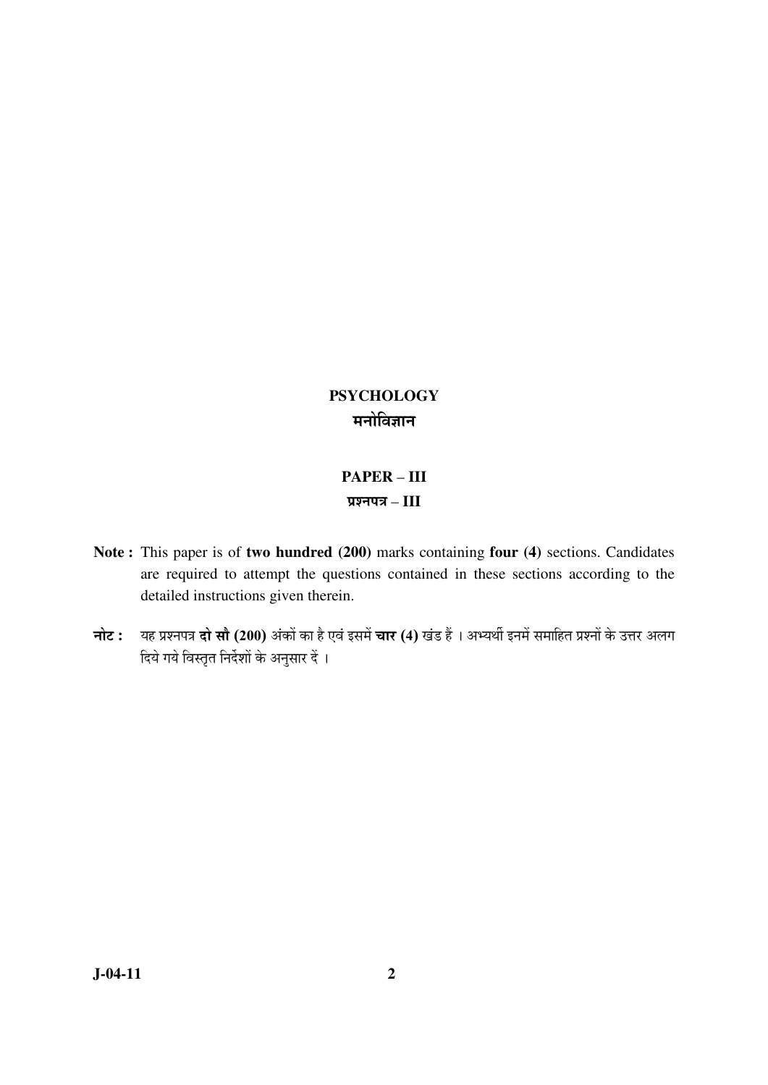# **PSYCHOLOGY** मनोविज्ञान

# **PAPER - III** प्रश्नपत्र $-III$

- Note: This paper is of two hundred (200) marks containing four (4) sections. Candidates are required to attempt the questions contained in these sections according to the detailed instructions given therein.
- नोट : यह प्रश्नपत्र दो सौ (200) अंकों का है एवं इसमें चार (4) खंड हैं । अभ्यर्थी इनमें समाहित प्रश्नों के उत्तर अलग दिये गये विस्तृत निर्देशों के अनुसार दें ।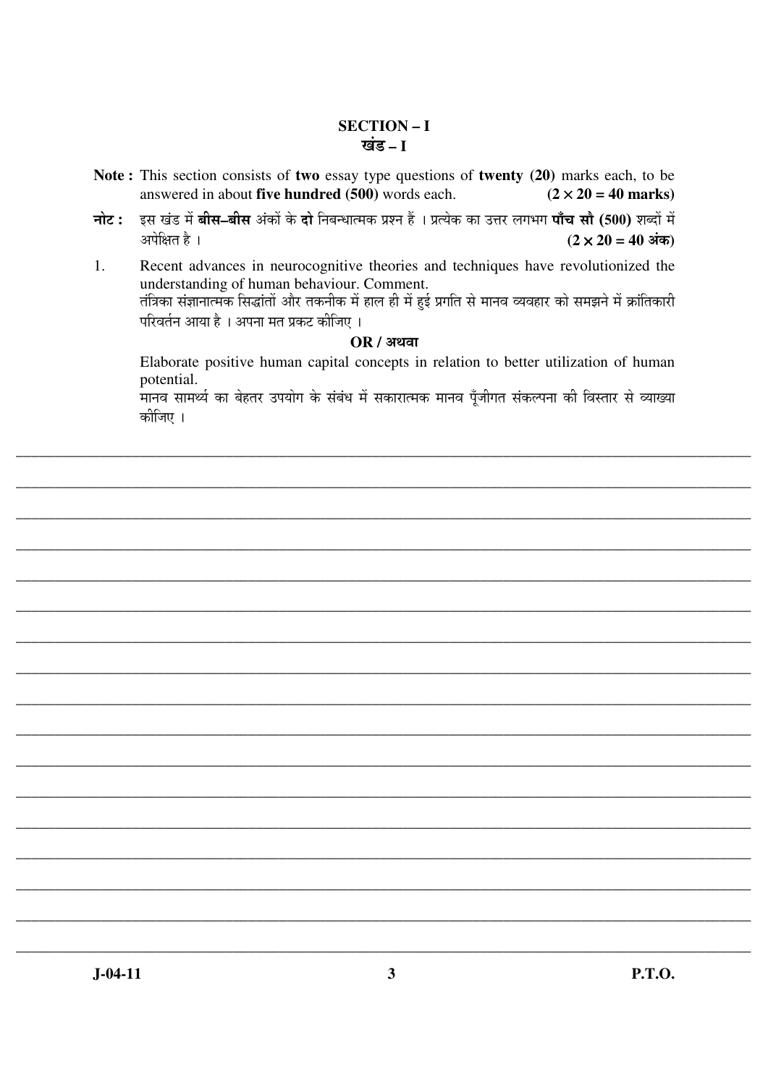#### **SECTION-I** खंड-1

- Note: This section consists of two essay type questions of twenty (20) marks each, to be answered in about five hundred (500) words each.  $(2 \times 20 = 40$  marks)
- इस खंड में **बीस–बीस** अंकों के **दो** निबन्धात्मक प्रश्न हैं । प्रत्येक का उत्तर लगभग **पाँच सौ (500)** शब्दों में नोट : अपेक्षित है ।  $(2 \times 20 = 40 \text{ sign})$
- 1. Recent advances in neurocognitive theories and techniques have revolutionized the understanding of human behaviour. Comment. तंत्रिका संज्ञानात्मक सिद्धांतों और तकनीक में हाल ही में हुई प्रगति से मानव व्यवहार को समझने में क्रांतिकारी परिवर्तन आया है। अपना मत प्रकट कीजिए।

#### $OR / 327$

Elaborate positive human capital concepts in relation to better utilization of human potential.

.<br>मानव सामर्थ्य का बेहतर उपयोग के संबंध में सकारात्मक मानव पूँजीगत संकल्पना की विस्तार से व्याख्या कीजिए ।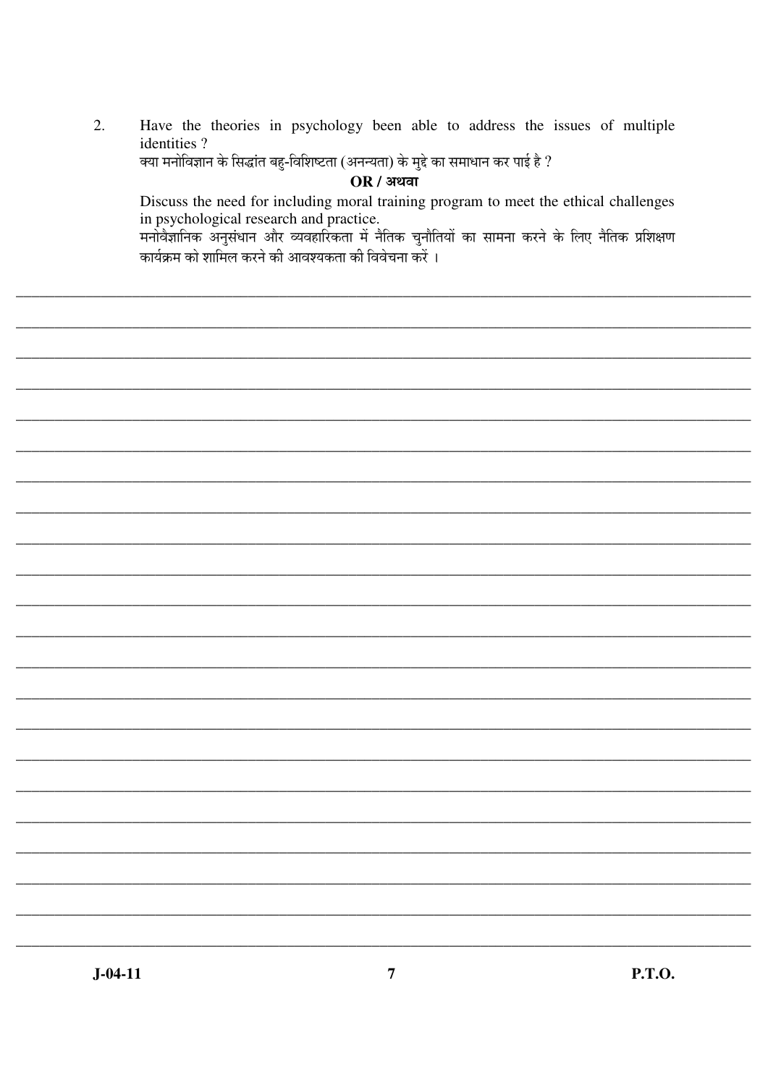Have the theories in psychology been able to address the issues of multiple  $\overline{2}$ . identities?

क्या मनोविज्ञान के सिद्धांत बहु-विशिष्टता (अनन्यता) के मुद्दे का समाधान कर पाई है ?

#### $OR/$ अथवा

Discuss the need for including moral training program to meet the ethical challenges in psychological research and practice. मनोवैज्ञानिक अनुसंधान और व्यवहारिकता में नैतिक चुनौतियों का सामना करने के लिए नैतिक प्रशिक्षण

कार्यक्रम को शामिल करने की आवश्यकता की विवेचना करें ।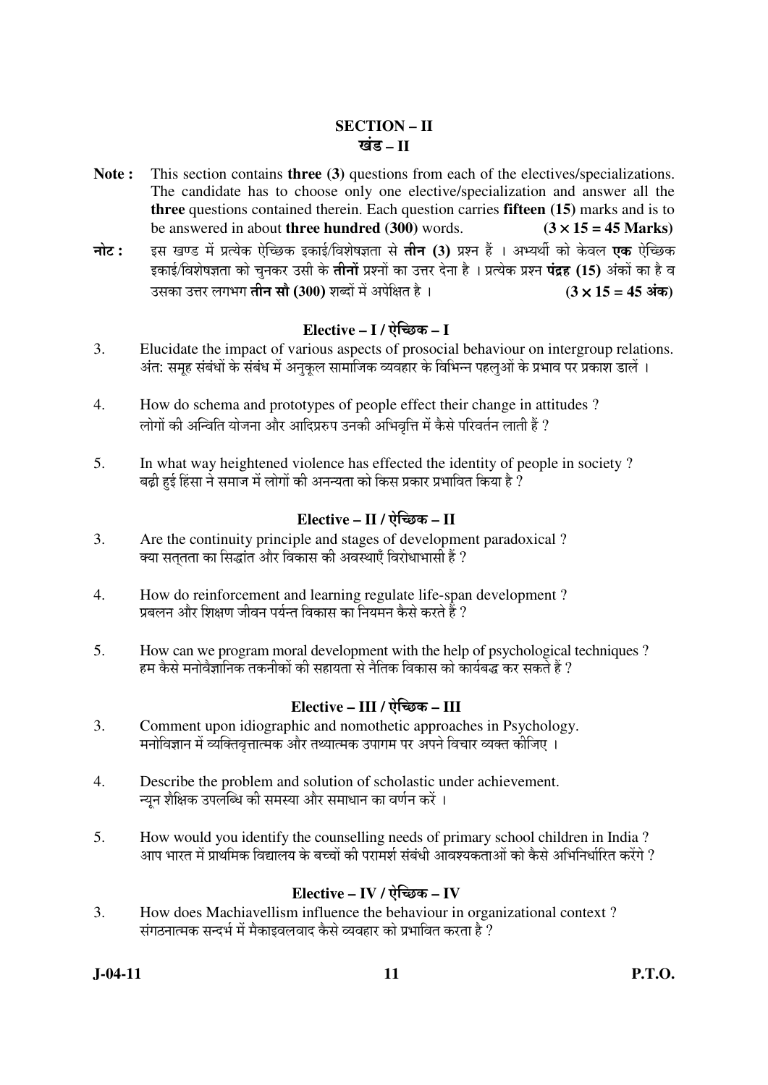## **SECTION - II** खंड - II

- Note: This section contains **three** (3) questions from each of the electives/specializations. The candidate has to choose only one elective/specialization and answer all the three questions contained therein. Each question carries fifteen (15) marks and is to be answered in about **three hundred** (300) words.  $(3 \times 15 = 45$  Marks)
- नोट : इस खण्ड में प्रत्येक ऐच्छिक इकाई/विशेषज्ञता से **तीन (3)** प्रश्न हैं । अभ्यर्थी को केवल **एक** ऐच्छिक इकाई/विशेषज्ञता को चुनकर उसी के **तीनों** प्रश्नों का उत्तर देना है । प्रत्येक प्रश्न **पंद्रह (15)** अंकों का है व उसका उत्तर लगभग **तीन सौ (300)** शब्दों में अपेक्षित है ।  $(3 \times 15 = 45 \text{ s})$

## Elective –  $I / \bar{\mathcal{C}}$ छिक – I

- $3.$ Elucidate the impact of various aspects of prosocial behaviour on intergroup relations. अंत: समूह संबंधों के संबंध में अनुकुल सामाजिक व्यवहार के विभिन्न पहलुओं के प्रभाव पर प्रकाश डालें ।
- $\overline{4}$ How do schema and prototypes of people effect their change in attitudes? लोगों की अन्विति योजना और आदिप्ररुप उनकी अभिवृत्ति में कैसे परिवर्तन लाती हैं ?
- $5<sub>1</sub>$ In what way heightened violence has effected the identity of people in society? बढ़ी हई हिंसा ने समाज में लोगों की अनन्यता को किस प्रकार प्रभावित किया है ?

# Elective – II / ऐच्छिक – II

- $\overline{3}$ . Are the continuity principle and stages of development paradoxical? क्या सततता का सिद्धांत और विकास की अवस्थाएँ विरोधाभासी हैं ?
- $\overline{4}$ . How do reinforcement and learning regulate life-span development? प्रबलन और शिक्षण जीवन पर्यन्त विकास का नियमन कैसे करते हैं ?
- $\overline{5}$ . How can we program moral development with the help of psychological techniques? हम कैसे मनोवैज्ञानिक तकनीकों की सहायता से नैतिक विकास को कार्यबद्ध कर सकते हैं ?

## $Elective - III / \n{  $\vec{C}$  \n{  $\vec{C}}$  \n  $\vec{C}$  \n  $\vec{C}$$

- $\overline{3}$ . Comment upon idiographic and nomothetic approaches in Psychology. मनोविज्ञान में व्यक्तिवृत्तात्मक और तथ्यात्मक उपागम पर अपने विचार व्यक्त कीजिए ।
- $\overline{4}$ . Describe the problem and solution of scholastic under achievement. न्यन शैक्षिक उपलब्धि की समस्या और समाधान का वर्णन करें ।
- $5<sub>1</sub>$ How would you identify the counselling needs of primary school children in India? आप भारत में प्राथमिक विद्यालय के बच्चों की परामर्श संबंधी आवश्यकताओं को कैसे अभिनिर्धारित करेंगे ?

# Elective – IV / ऐच्छिक – IV

 $\overline{3}$ . How does Machiavellism influence the behaviour in organizational context? संगठनात्मक सन्दर्भ में मैकाइवलवाद कैसे व्यवहार को प्रभावित करता है ?

 $J-04-11$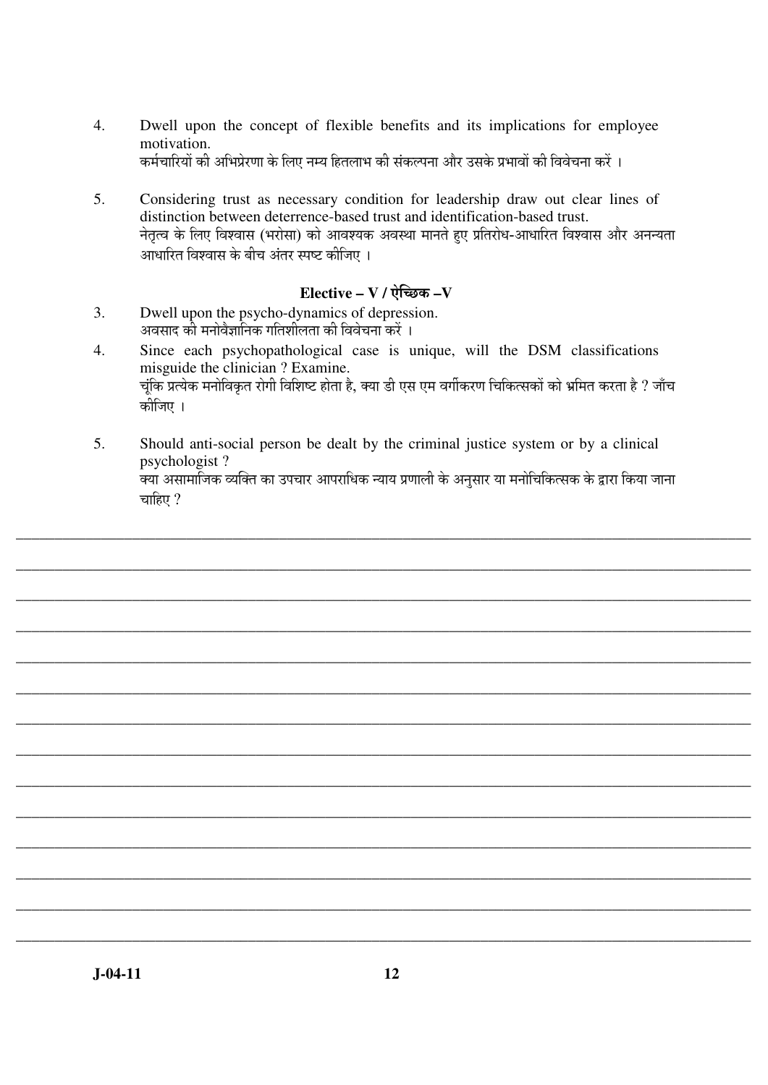- $\overline{4}$ . Dwell upon the concept of flexible benefits and its implications for employee motivation. कर्मचारियों की अभिप्रेरणा के लिए नम्य हितलाभ की संकल्पना और उसके प्रभावों की विवेचना करें ।
- $5<sub>1</sub>$ Considering trust as necessary condition for leadership draw out clear lines of distinction between deterrence-based trust and identification-based trust. नेतृत्व के लिए विश्वास (भरोसा) को आवश्यक अवस्था मानते हुए प्रतिरोध-आधारित विश्वास और अनन्यता आधारित विश्वास के बीच अंतर स्पष्ट कीजिए ।

#### Elective –  $V / \hat{V}$ च्छिक – $V$

- Dwell upon the psycho-dynamics of depression. 3. अवसाद की मनोवैज्ञानिक गतिशीलता की विवेचना करें ।
- Since each psychopathological case is unique, will the DSM classifications  $\overline{4}$ . misguide the clinician? Examine. चंकि प्रत्येक मनोविकत रोगी विशिष्ट होता है, क्या डी एस एम वर्गीकरण चिकित्सकों को भ्रमित करता है ? जाँच कीजिए ।
- 5. Should anti-social person be dealt by the criminal justice system or by a clinical psychologist? क्या असामाजिक व्यक्ति का उपचार आपराधिक न्याय प्रणाली के अनुसार या मनोचिकित्सक के द्वारा किया जाना चाहिए ?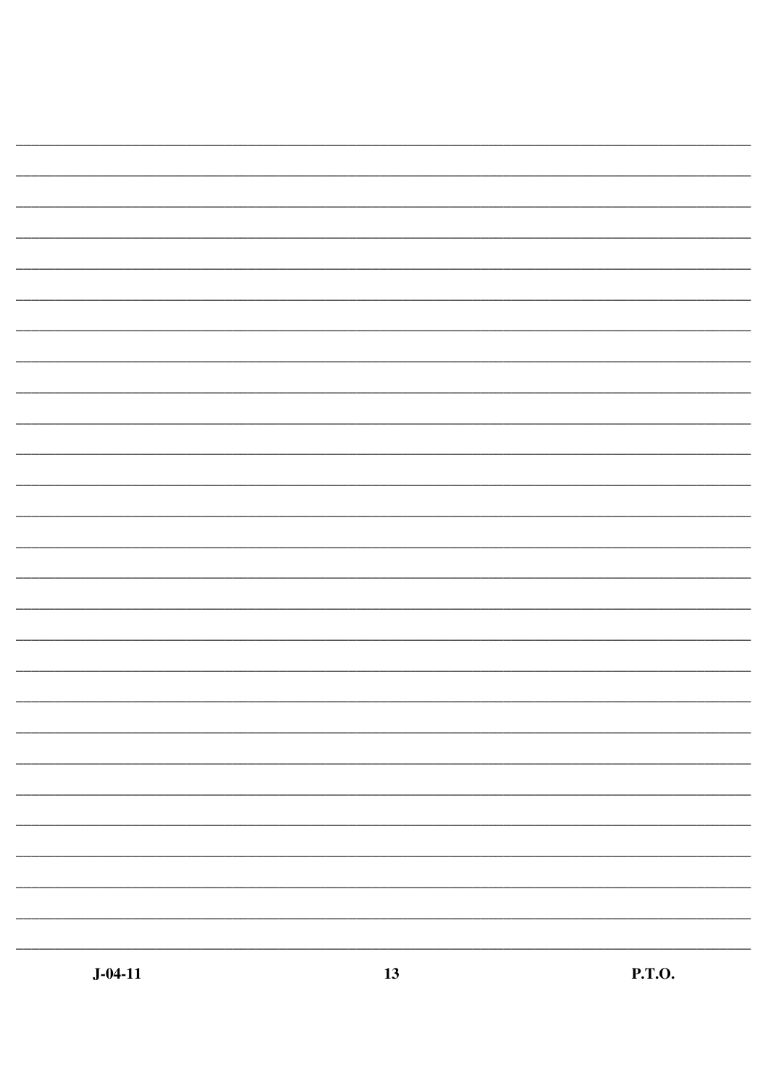| _ _ _ _ |  |
|---------|--|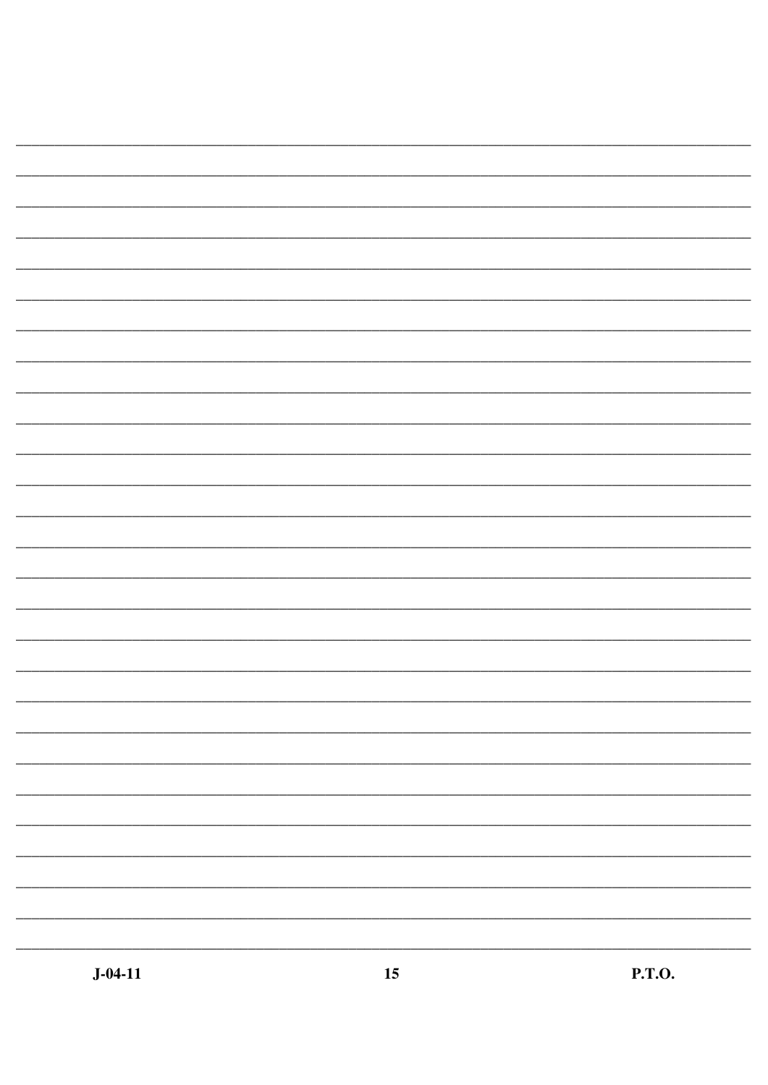|  | $\overline{\phantom{0}}$ |
|--|--------------------------|
|  |                          |
|  |                          |
|  |                          |
|  |                          |
|  |                          |
|  |                          |
|  |                          |
|  |                          |
|  |                          |
|  |                          |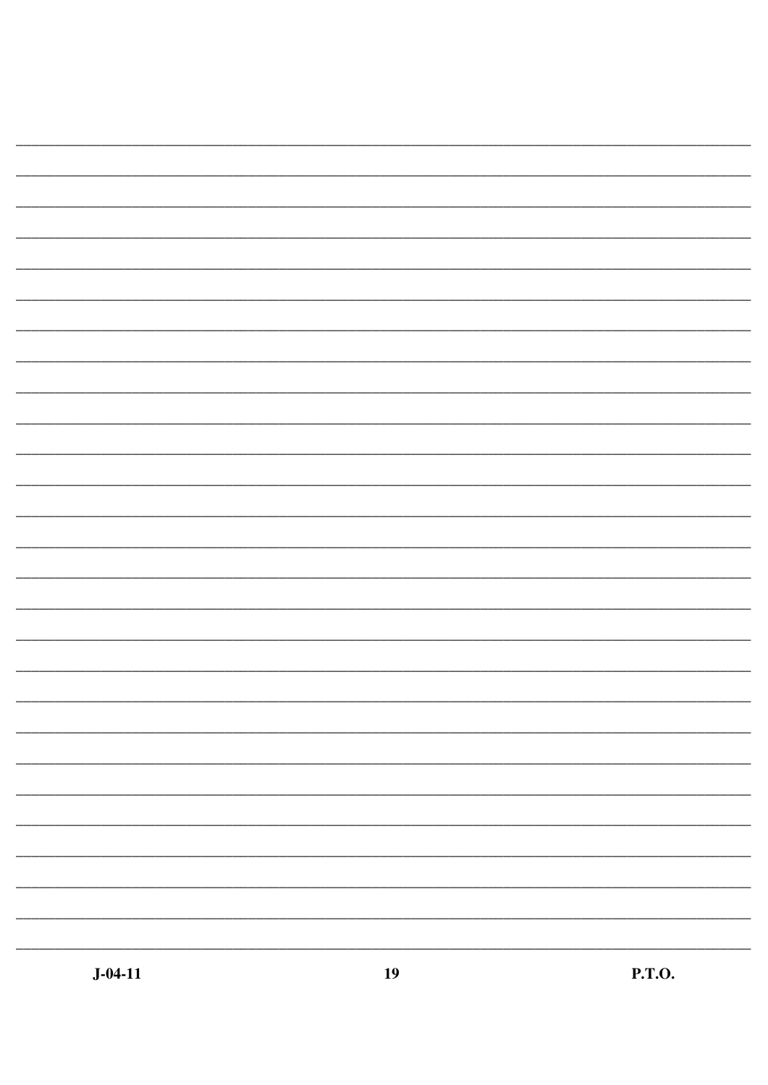|                                    |        | $\overline{\phantom{0}}$ |
|------------------------------------|--------|--------------------------|
|                                    |        |                          |
|                                    |        | —                        |
|                                    |        | <u>.</u>                 |
|                                    |        | -                        |
|                                    |        |                          |
|                                    |        |                          |
|                                    |        |                          |
|                                    |        |                          |
|                                    |        |                          |
|                                    |        |                          |
|                                    |        | Ξ.                       |
| $\sim$ $\sim$ $\sim$ $\sim$ $\sim$ | $\sim$ | $\sim$ $\sim$            |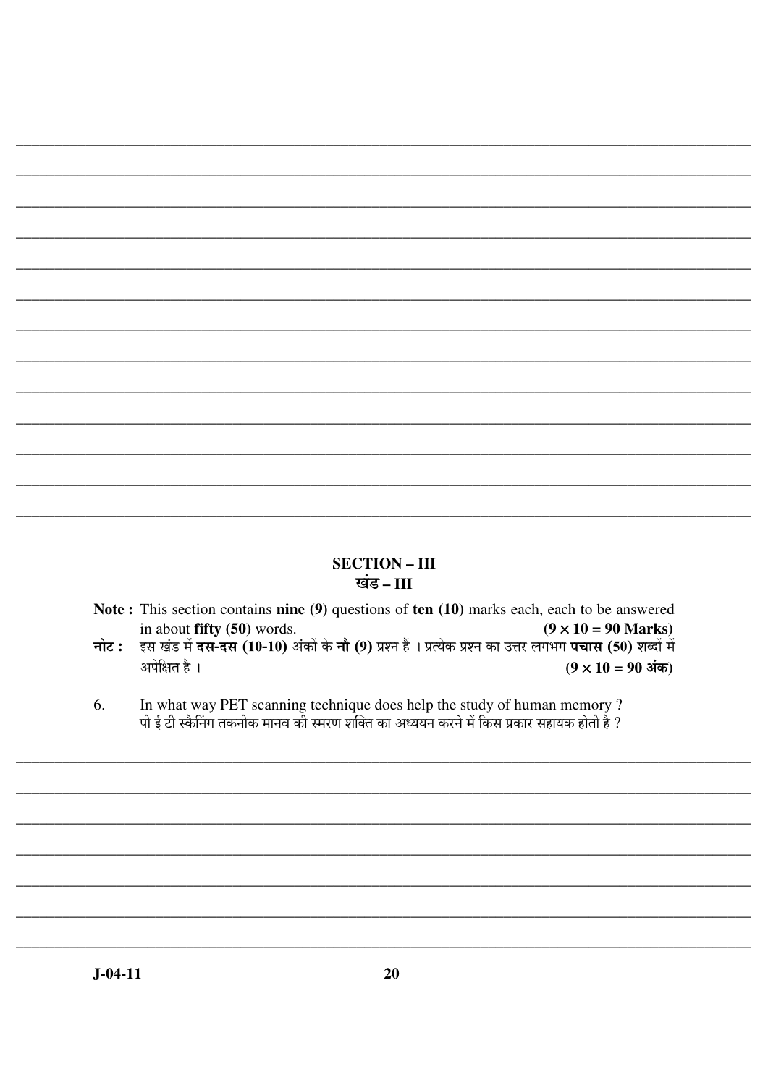## **SECTION - III** खंड – III

- Note: This section contains nine (9) questions of ten (10) marks each, each to be answered in about fifty (50) words.  $(9 \times 10 = 90 \text{ Marks})$ इस खंड में **दस-दस (10-10)** अंकों के **नौ (9)** प्रश्न हैं । प्रत्येक प्रश्न का उत्तर लगभग **पचास (50)** शब्दों में नोट : अपेक्षित है।  $(9 \times 10 = 90 \text{ s})$
- In what way PET scanning technique does help the study of human memory ? 6. पी ई टी स्कैनिंग तकनीक मानव को स्मरण शक्ति का अध्ययन करने में किस प्रकार सहायक होती है ?

 $J - 04 - 11$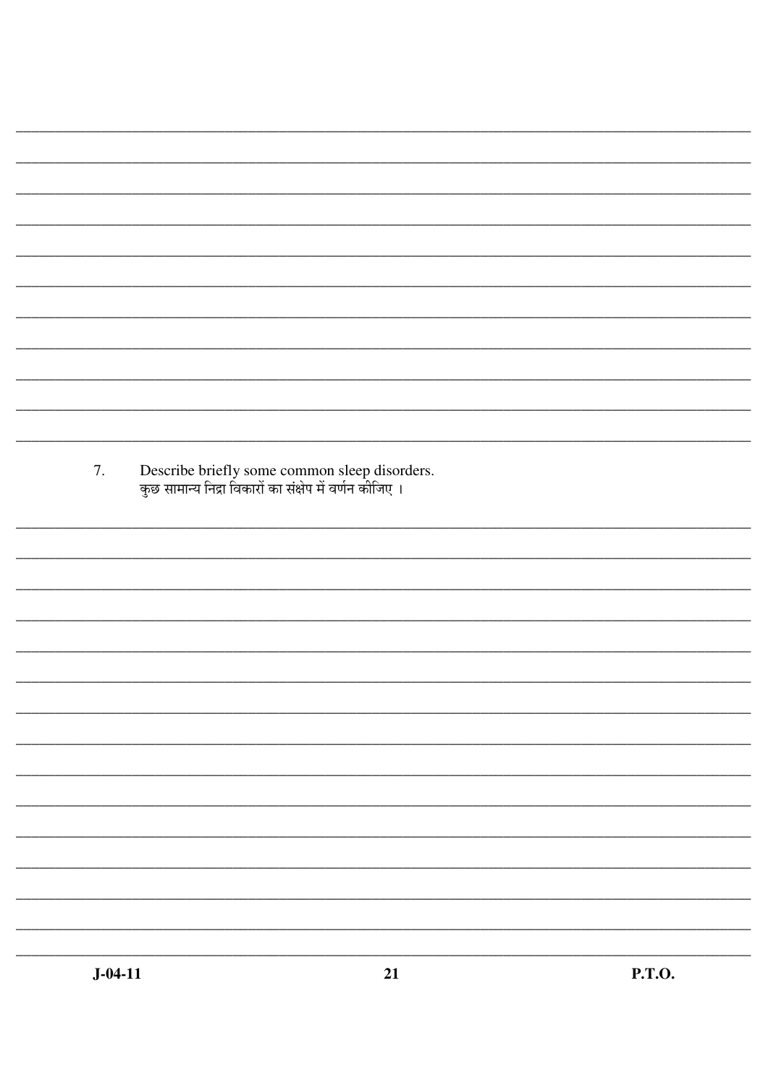Describe briefly some common sleep disorders.<br>कुछ सामान्य निद्रा विकारों का संक्षेप में वर्णन कीजिए ।  $\overline{7}$ .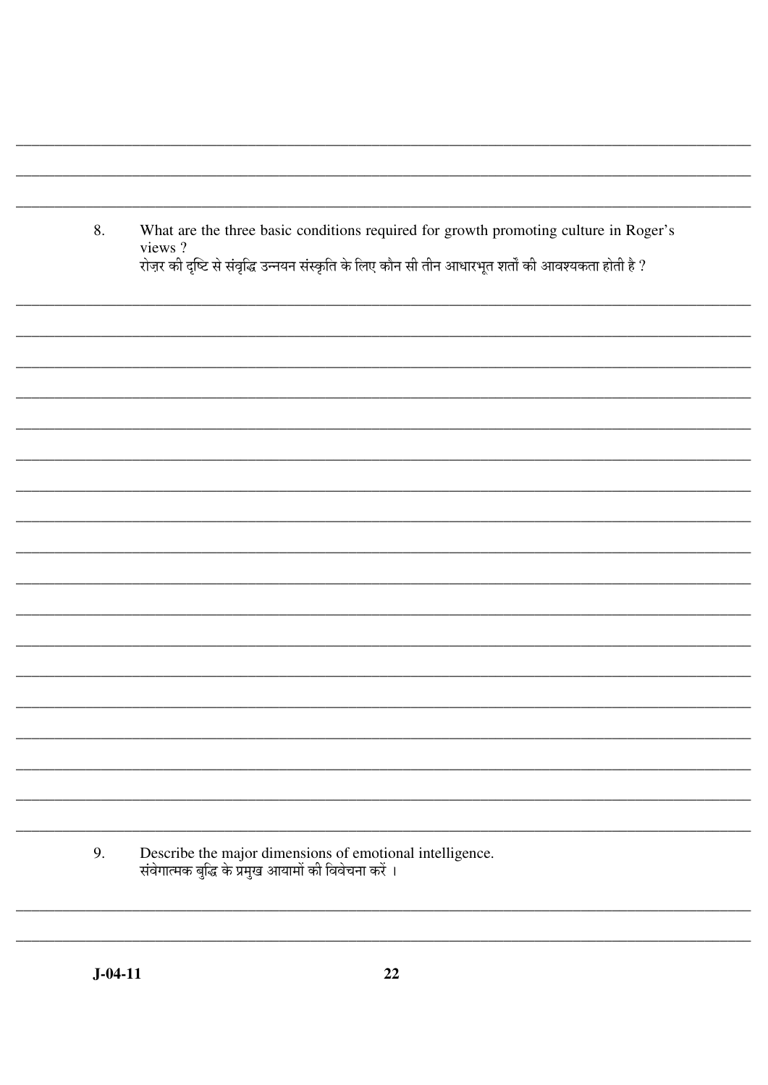| 8. | What are the three basic conditions required for growth promoting culture in Roger's<br>views?<br>रोज़र की दृष्टि से संवृद्धि उन्नयन संस्कृति के लिए कौन सी तीन आधारभूत शर्तों की आवश्यकता होती है ? |  |  |  |
|----|------------------------------------------------------------------------------------------------------------------------------------------------------------------------------------------------------|--|--|--|
|    |                                                                                                                                                                                                      |  |  |  |
|    |                                                                                                                                                                                                      |  |  |  |
|    |                                                                                                                                                                                                      |  |  |  |
|    |                                                                                                                                                                                                      |  |  |  |
|    |                                                                                                                                                                                                      |  |  |  |
|    |                                                                                                                                                                                                      |  |  |  |
|    |                                                                                                                                                                                                      |  |  |  |
|    |                                                                                                                                                                                                      |  |  |  |
|    |                                                                                                                                                                                                      |  |  |  |
|    |                                                                                                                                                                                                      |  |  |  |
|    |                                                                                                                                                                                                      |  |  |  |
|    |                                                                                                                                                                                                      |  |  |  |
|    |                                                                                                                                                                                                      |  |  |  |
|    |                                                                                                                                                                                                      |  |  |  |
|    |                                                                                                                                                                                                      |  |  |  |
|    |                                                                                                                                                                                                      |  |  |  |
|    |                                                                                                                                                                                                      |  |  |  |
|    |                                                                                                                                                                                                      |  |  |  |
|    |                                                                                                                                                                                                      |  |  |  |
|    |                                                                                                                                                                                                      |  |  |  |
|    |                                                                                                                                                                                                      |  |  |  |
|    |                                                                                                                                                                                                      |  |  |  |
|    |                                                                                                                                                                                                      |  |  |  |
|    |                                                                                                                                                                                                      |  |  |  |

Describe the major dimensions of emotional intelligence. 9. संवेगात्मक बुद्धि के प्रमुख आयामों की विवेचना करें ।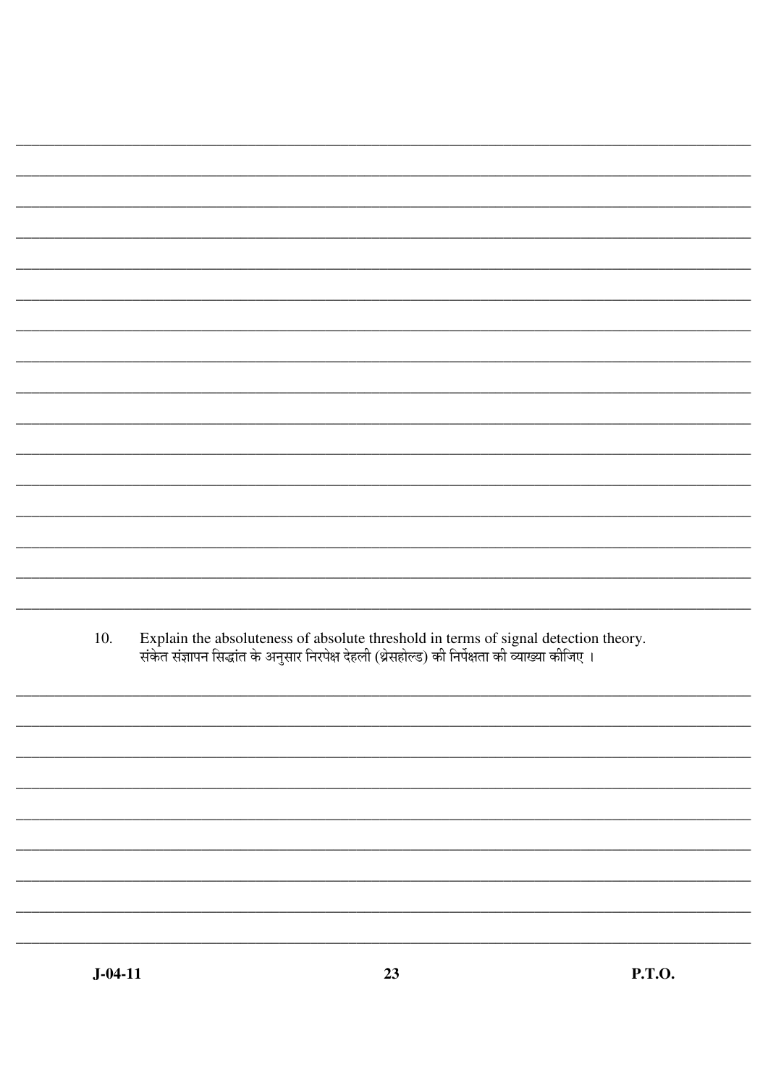Explain the absoluteness of absolute threshold in terms of signal detection theory. 10. संकेत संज्ञापन सिद्धांत के अनुसार निरपेक्ष देहली (थ्रेसहोल्ड) की निर्पेक्षता की व्याख्या कीजिए ।  $J - 04 - 11$ 23 **P.T.O.**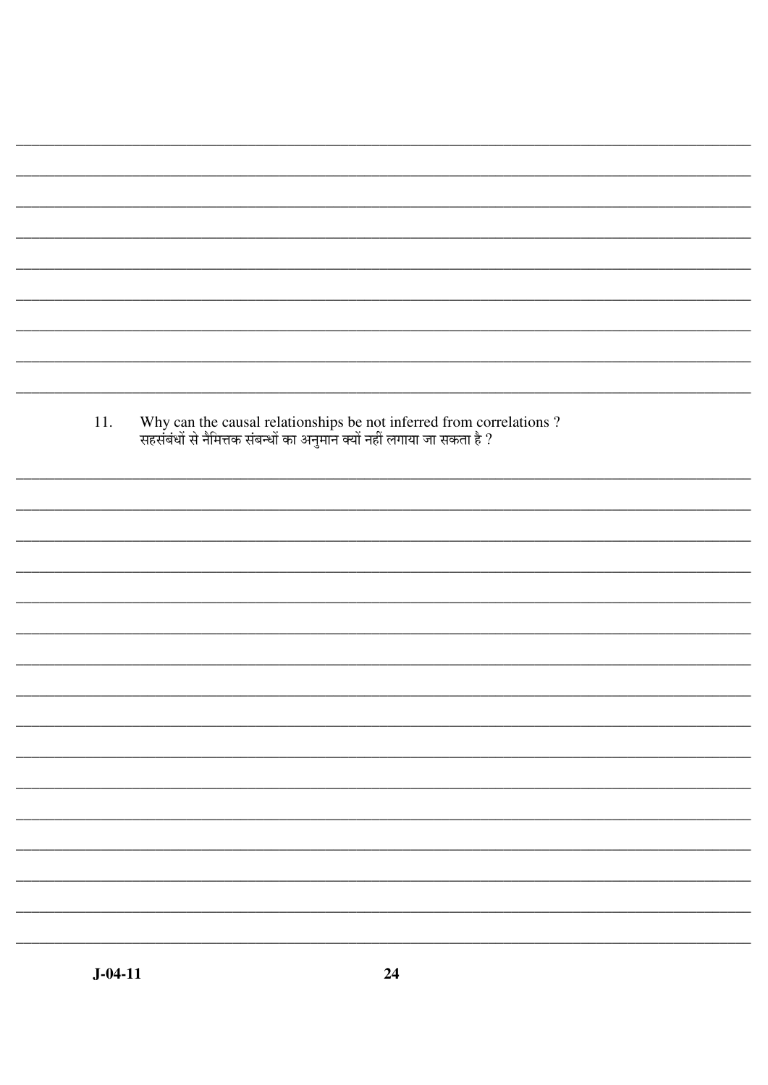Why can the causal relationships be not inferred from correlations ?<br>सहसंबंधों से नैमित्तक संबन्धों का अनुमान क्यों नहीं लगाया जा सकता है ? 11.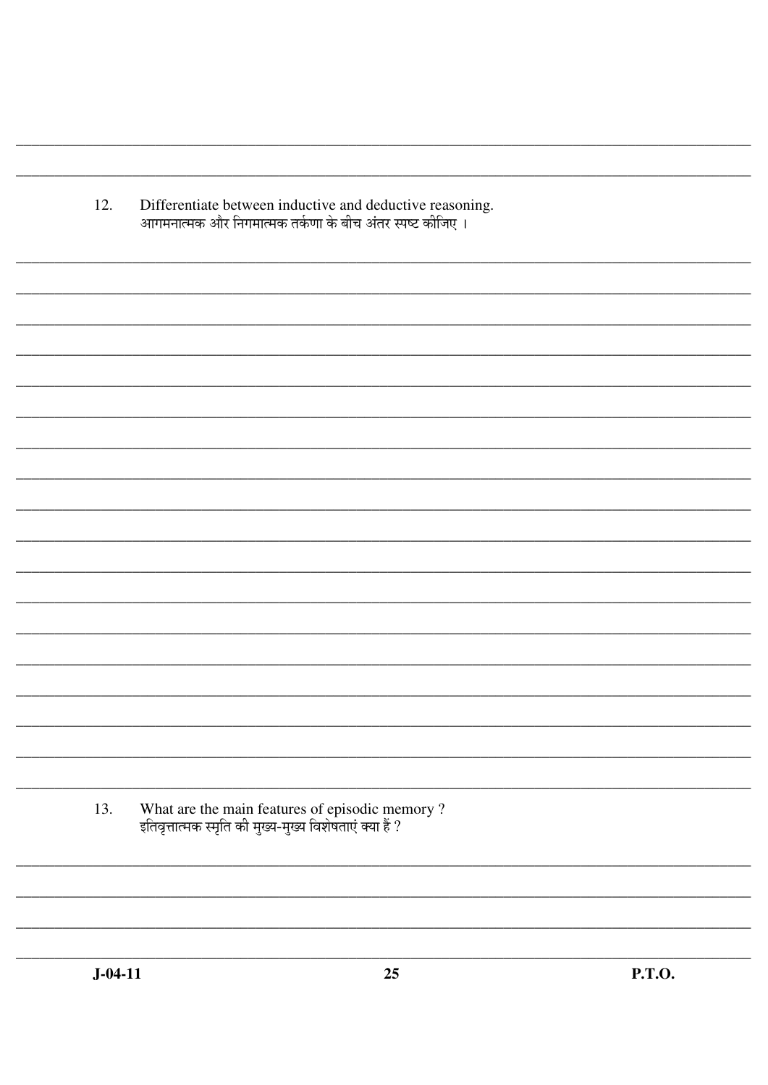| 12.           | Differentiate between inductive and deductive reasoning.<br>आगमनात्मक और निगमात्मक तर्कणा के बीच अंतर स्पष्ट कीजिए । |               |
|---------------|----------------------------------------------------------------------------------------------------------------------|---------------|
|               |                                                                                                                      |               |
|               |                                                                                                                      |               |
|               |                                                                                                                      |               |
|               |                                                                                                                      |               |
|               |                                                                                                                      |               |
|               |                                                                                                                      |               |
|               |                                                                                                                      |               |
|               |                                                                                                                      |               |
|               |                                                                                                                      |               |
|               |                                                                                                                      |               |
|               |                                                                                                                      |               |
|               |                                                                                                                      |               |
|               |                                                                                                                      |               |
| 13.           | What are the main features of episodic memory ?<br>इतिवृत्तात्मक स्मृति की मुख्य-मुख्य विशेषताएं क्या हैं ?          |               |
|               |                                                                                                                      |               |
| $J - 04 - 11$ | 25                                                                                                                   | <b>P.T.O.</b> |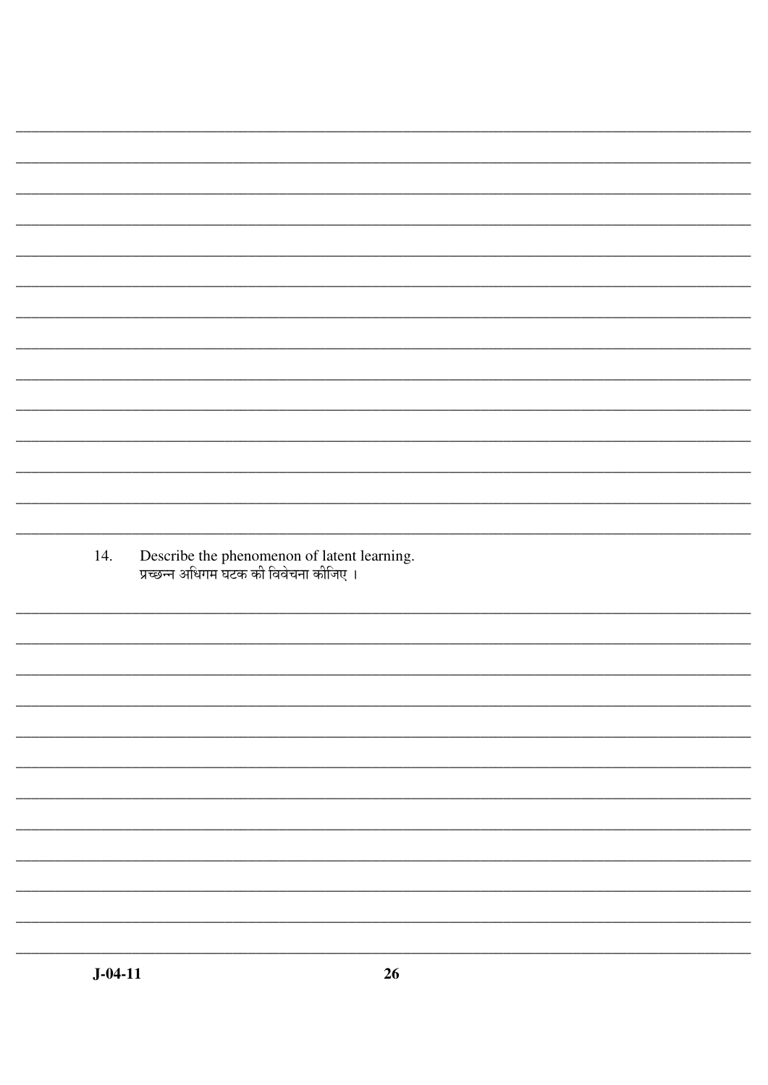Describe the phenomenon of latent learning.<br>प्रच्छन्न अधिगम घटक को विवेचना कीजिए । 14.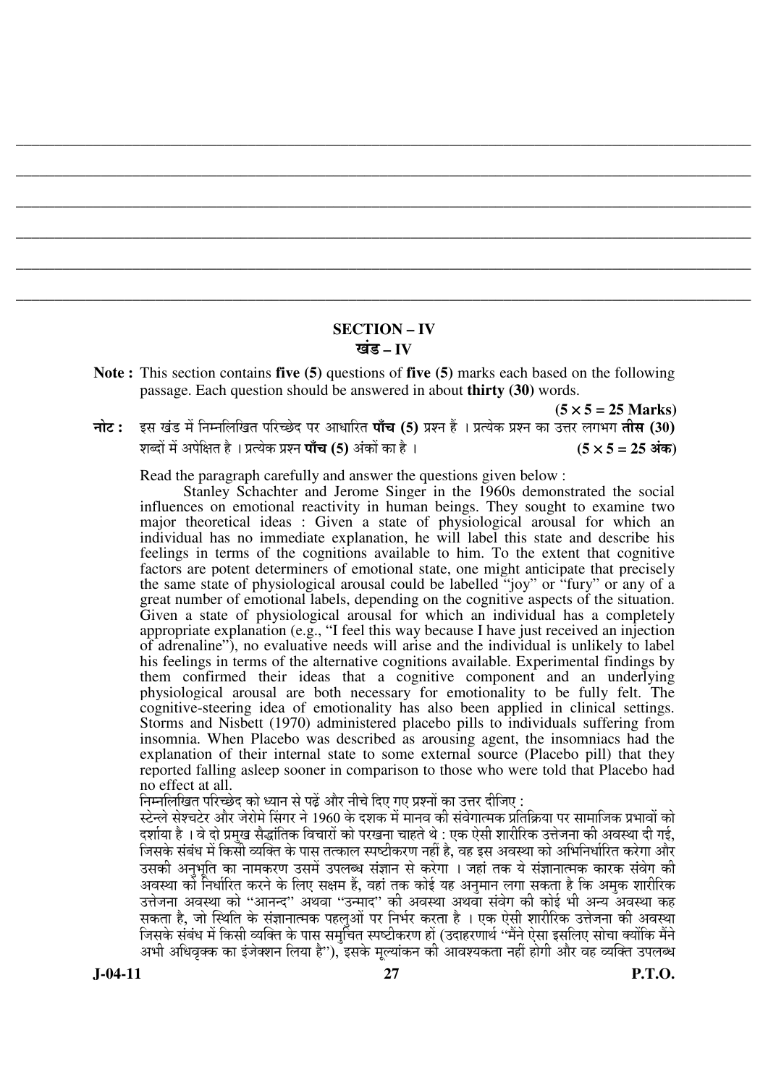#### **SECTION – IV**  <u>खंद – IV</u>

\_\_\_\_\_\_\_\_\_\_\_\_\_\_\_\_\_\_\_\_\_\_\_\_\_\_\_\_\_\_\_\_\_\_\_\_\_\_\_\_\_\_\_\_\_\_\_\_\_\_\_\_\_\_\_\_\_\_\_\_\_\_\_\_\_\_\_\_\_\_\_\_\_\_\_\_\_\_\_\_\_\_\_\_\_\_\_\_\_\_\_\_\_\_\_

\_\_\_\_\_\_\_\_\_\_\_\_\_\_\_\_\_\_\_\_\_\_\_\_\_\_\_\_\_\_\_\_\_\_\_\_\_\_\_\_\_\_\_\_\_\_\_\_\_\_\_\_\_\_\_\_\_\_\_\_\_\_\_\_\_\_\_\_\_\_\_\_\_\_\_\_\_\_\_\_\_\_\_\_\_\_\_\_\_\_\_\_\_\_\_

\_\_\_\_\_\_\_\_\_\_\_\_\_\_\_\_\_\_\_\_\_\_\_\_\_\_\_\_\_\_\_\_\_\_\_\_\_\_\_\_\_\_\_\_\_\_\_\_\_\_\_\_\_\_\_\_\_\_\_\_\_\_\_\_\_\_\_\_\_\_\_\_\_\_\_\_\_\_\_\_\_\_\_\_\_\_\_\_\_\_\_\_\_\_\_

\_\_\_\_\_\_\_\_\_\_\_\_\_\_\_\_\_\_\_\_\_\_\_\_\_\_\_\_\_\_\_\_\_\_\_\_\_\_\_\_\_\_\_\_\_\_\_\_\_\_\_\_\_\_\_\_\_\_\_\_\_\_\_\_\_\_\_\_\_\_\_\_\_\_\_\_\_\_\_\_\_\_\_\_\_\_\_\_\_\_\_\_\_\_\_

\_\_\_\_\_\_\_\_\_\_\_\_\_\_\_\_\_\_\_\_\_\_\_\_\_\_\_\_\_\_\_\_\_\_\_\_\_\_\_\_\_\_\_\_\_\_\_\_\_\_\_\_\_\_\_\_\_\_\_\_\_\_\_\_\_\_\_\_\_\_\_\_\_\_\_\_\_\_\_\_\_\_\_\_\_\_\_\_\_\_\_\_\_\_\_

\_\_\_\_\_\_\_\_\_\_\_\_\_\_\_\_\_\_\_\_\_\_\_\_\_\_\_\_\_\_\_\_\_\_\_\_\_\_\_\_\_\_\_\_\_\_\_\_\_\_\_\_\_\_\_\_\_\_\_\_\_\_\_\_\_\_\_\_\_\_\_\_\_\_\_\_\_\_\_\_\_\_\_\_\_\_\_\_\_\_\_\_\_\_\_

**Note :** This section contains **five (5)** questions of **five (5)** marks each based on the following passage. Each question should be answered in about **thirty (30)** words.

 **(5** × **5 = 25 Marks)**

नोट: इस खंड में निम्नलिखित परिच्छेद पर आधारित **पाँच (5)** प्रश्न हैं । प्रत्येक प्रश्न का उत्तर लगभग **तीस (30)** शब्दों में अपेक्षित है। प्रत्येक प्रश्न **पाँच (5)** अंकों का है। त्या स्वाट तक स्वाट तक स्वाट तक रही = 25 अं**क**)

Read the paragraph carefully and answer the questions given below :

 Stanley Schachter and Jerome Singer in the 1960s demonstrated the social influences on emotional reactivity in human beings. They sought to examine two major theoretical ideas : Given a state of physiological arousal for which an individual has no immediate explanation, he will label this state and describe his feelings in terms of the cognitions available to him. To the extent that cognitive factors are potent determiners of emotional state, one might anticipate that precisely the same state of physiological arousal could be labelled "joy" or "fury" or any of a great number of emotional labels, depending on the cognitive aspects of the situation. Given a state of physiological arousal for which an individual has a completely appropriate explanation (e.g., "I feel this way because I have just received an injection of adrenaline"), no evaluative needs will arise and the individual is unlikely to label his feelings in terms of the alternative cognitions available. Experimental findings by them confirmed their ideas that a cognitive component and an underlying physiological arousal are both necessary for emotionality to be fully felt. The cognitive-steering idea of emotionality has also been applied in clinical settings. Storms and Nisbett (1970) administered placebo pills to individuals suffering from insomnia. When Placebo was described as arousing agent, the insomniacs had the explanation of their internal state to some external source (Placebo pill) that they reported falling asleep sooner in comparison to those who were told that Placebo had no effect at all.

निम्नलिखित परिच्छेद को ध्यान से पढ़ें और नीचे दिए गए प्रश्नों का उत्तर दीजिए :

स्टेन्ले सेश्चटेर और जेरोमे सिंगर ने 1960 के दशक में मानव की संवेगात्मक प्रतिक्रिया पर सामाजिक प्रभावों को दर्शाया है । वे दो प्रमख सैद्धांतिक विचारों को परखना चाहते थे : एक ऐसी शारीरिक उत्तेजना की अवस्था दी गई. जिसके संबंध में किसी व्यक्ति के पास तत्काल स्पष्टीकरण नहीं है. वह इस अवस्था को अभिनिर्धारित करेगा और उसकी अनर्भात का नामकरण उसमें उपलब्ध संज्ञान से करेगा । जहां तक ये संज्ञानात्मक कारक संवेग की अवस्था को निर्धारित करने के लिए सक्षम हैं, वहां तक कोई यह अनुमान लगा सकता है कि अमुक शारीरिक उत्तेजना अवस्था को "आनन्द" अथवा "उन्माद" की अवस्था अथवा संवेग की कोई भी अन्य अवस्था कह सकता है. जो स्थिति के संज्ञानात्मक पहलओं पर निर्भर करता है । एक ऐसी शारीरिक उत्तेजना की अवस्था जिसके संबंध में किसी व्यक्ति के पास समुचित स्पष्टीकरण हों (उदाहरणार्थ ''मैंने ऐसा इसलिए सोचा क्योंकि मैंने अभी अधिवक्क का इंजेक्शन लिया है''), इसके मल्यांकन की आवश्यकता नहीं होगी और वह व्यक्ति उपलब्ध

**J-04-11 27 P.T.O.**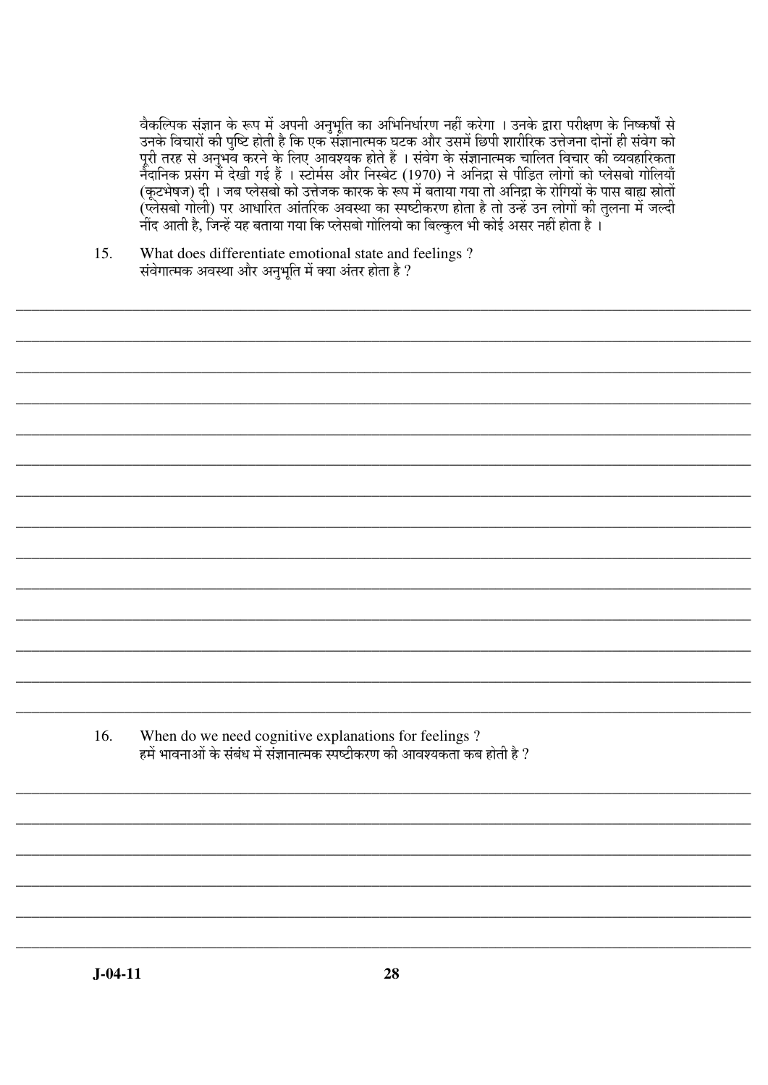वैकल्पिक संज्ञान के रूप में अपनी अनुभूति का अभिनिर्धारण नहीं करेगा । उनके द्वारा परीक्षण के निष्कर्षों से उनके विचारों की पुष्टि होती है कि एक संज्ञानात्मक घटक और उसमें छिपी शारीरिक उत्तेजना दोनों ही संवेग को परी तरह से अनभव करने के लिए आवश्यक होते हैं । संवेग के संज्ञानात्मक चालित विचार की व्यवहारिकता नैंदानिक प्रसंग में देखी गई हैं । स्टोर्मस और निस्बेट (1970) ने अनिद्रा से पीड़ित लोगों को प्लेसबो गोलियाँ (कटभेषज) दी । जब प्लेसबो को उत्तेजक कारक के रूप में बताया गया तो अनिद्रा के रोगियों के पास बाह्य स्रोतों (प्लेसबो गोली) पर आधारित आंतरिक अवस्था का स्पष्टीकरण होता है तो उन्हें उन लोगों की तलना में जल्दी नींद आती है, जिन्हें यह बताया गया कि प्लेसबो गोलियो का बिल्कुल भी कोई असर नहीं होता है ।

 $15.$ What does differentiate emotional state and feelings? संवेगात्मक अवस्था और अनुभूति में क्या अंतर होता है ?

16. When do we need cognitive explanations for feelings? हमें भावनाओं के संबंध में संज्ञानात्मक स्पष्टीकरण की आवश्यकता कब होती है ?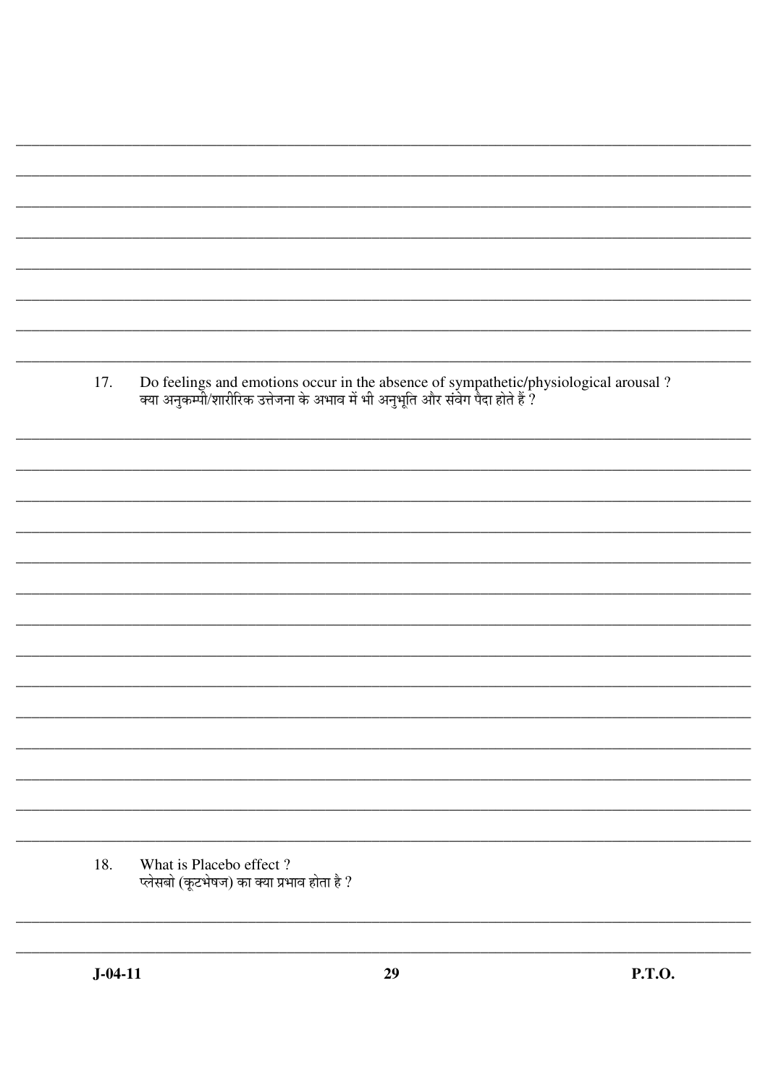- Do feelings and emotions occur in the absence of sympathetic/physiological arousal ? क्या अनुकम्पी/शारीरिक उत्तेजना के अभाव में भी अनुभूति और संवेग पैदा होते हैं ? 17.
	- What is Placebo effect? 18. प्लेसबो (कूटभेषज) का क्या प्रभाव होता है ?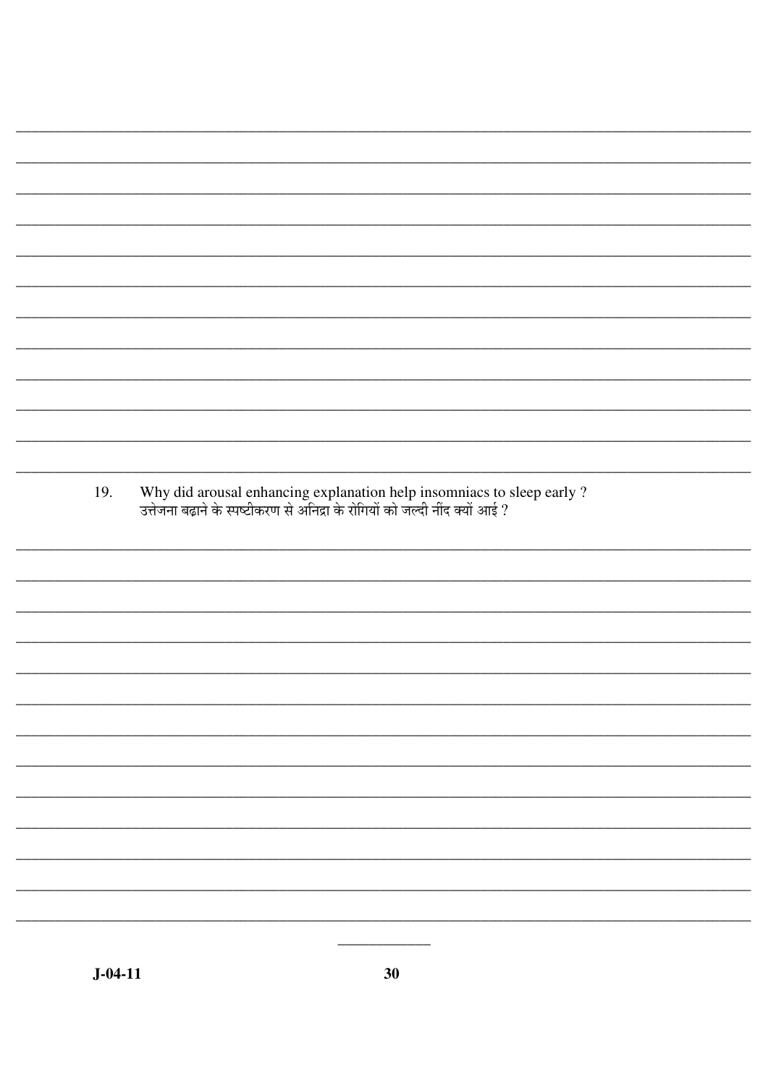Why did arousal enhancing explanation help insomniacs to sleep early ?<br>उत्तेजना बढ़ाने के स्पष्टीकरण से अनिद्रा के रोगियों को जल्दी नींद क्यों आई ? 19.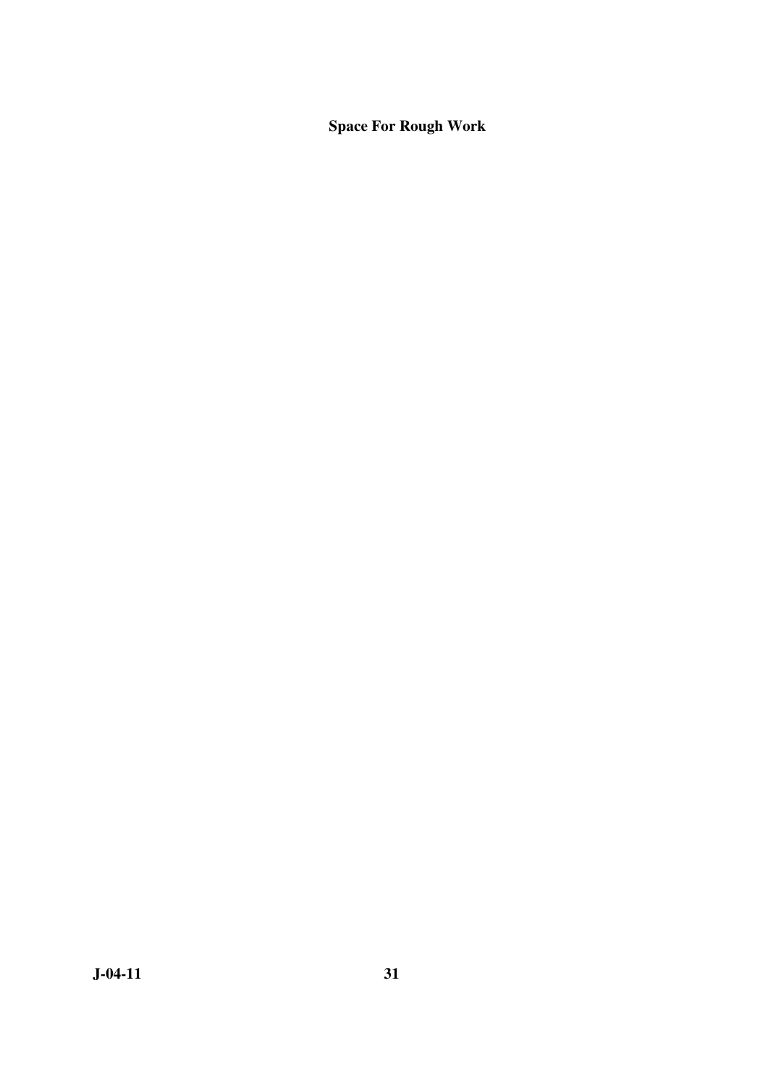**Space For Rough Work**